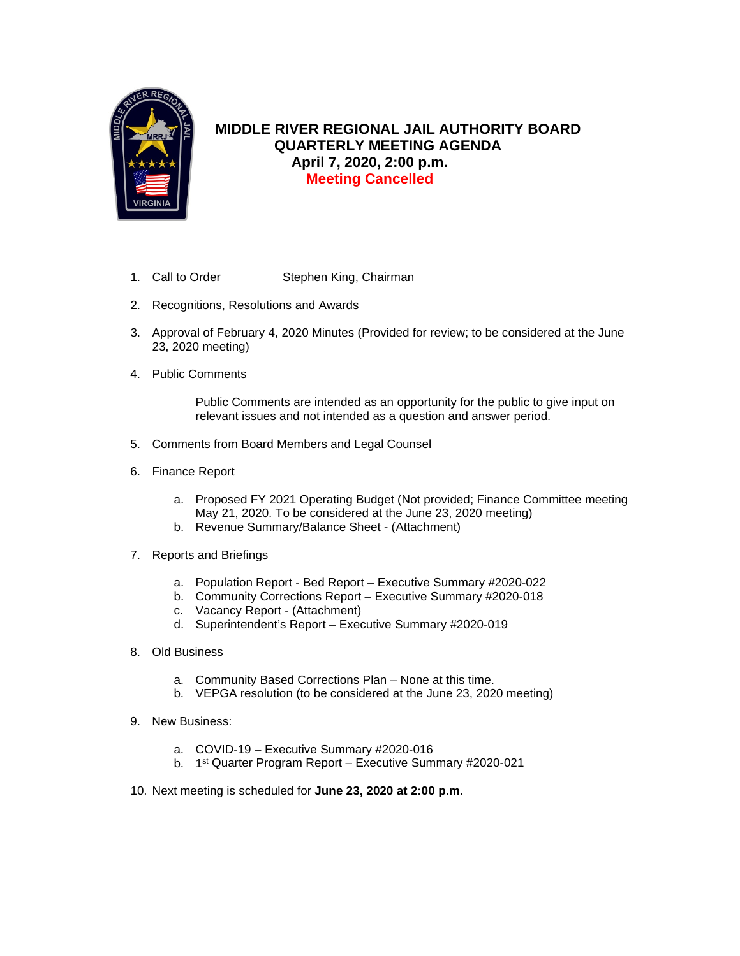

# **MIDDLE RIVER REGIONAL JAIL AUTHORITY BOARD QUARTERLY MEETING AGENDA April 7, 2020, 2:00 p.m. Meeting Cancelled**

- 1. Call to Order Stephen King, Chairman
- 2. Recognitions, Resolutions and Awards
- 3. Approval of February 4, 2020 Minutes (Provided for review; to be considered at the June 23, 2020 meeting)
- 4. Public Comments

Public Comments are intended as an opportunity for the public to give input on relevant issues and not intended as a question and answer period.

- 5. Comments from Board Members and Legal Counsel
- 6. Finance Report
	- a. Proposed FY 2021 Operating Budget (Not provided; Finance Committee meeting May 21, 2020. To be considered at the June 23, 2020 meeting)
	- b. Revenue Summary/Balance Sheet (Attachment)
- 7. Reports and Briefings
	- a. Population Report Bed Report Executive Summary #2020-022
	- b. Community Corrections Report Executive Summary #2020-018
	- c. Vacancy Report (Attachment)
	- d. Superintendent's Report Executive Summary #2020-019
- 8. Old Business
	- a. Community Based Corrections Plan None at this time.
	- b. VEPGA resolution (to be considered at the June 23, 2020 meeting)
- 9. New Business:
	- a. COVID-19 Executive Summary #2020-016
	- b. 1st Quarter Program Report Executive Summary #2020-021
- 10. Next meeting is scheduled for **June 23, 2020 at 2:00 p.m.**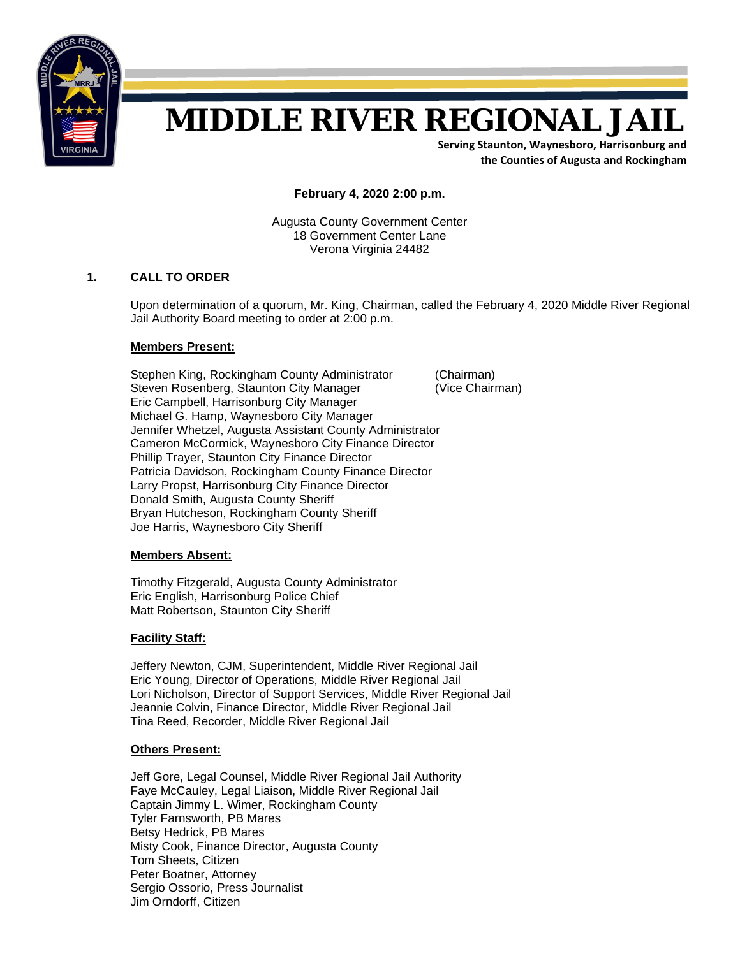

# **MIDDLE RIVER REGIONAL JAIL**

**Serving Staunton, Waynesboro, Harrisonburg and the Counties of Augusta and Rockingham**

**February 4, 2020 2:00 p.m.**

Augusta County Government Center 18 Government Center Lane Verona Virginia 24482

### **1. CALL TO ORDER**

Upon determination of a quorum, Mr. King, Chairman, called the February 4, 2020 Middle River Regional Jail Authority Board meeting to order at 2:00 p.m.

### **Members Present:**

Stephen King, Rockingham County Administrator (Chairman) Steven Rosenberg, Staunton City Manager (Vice Chairman) Eric Campbell, Harrisonburg City Manager Michael G. Hamp, Waynesboro City Manager Jennifer Whetzel, Augusta Assistant County Administrator Cameron McCormick, Waynesboro City Finance Director Phillip Trayer, Staunton City Finance Director Patricia Davidson, Rockingham County Finance Director Larry Propst, Harrisonburg City Finance Director Donald Smith, Augusta County Sheriff Bryan Hutcheson, Rockingham County Sheriff Joe Harris, Waynesboro City Sheriff

### **Members Absent:**

Timothy Fitzgerald, Augusta County Administrator Eric English, Harrisonburg Police Chief Matt Robertson, Staunton City Sheriff

### **Facility Staff:**

 Jeffery Newton, CJM, Superintendent, Middle River Regional Jail Eric Young, Director of Operations, Middle River Regional Jail Lori Nicholson, Director of Support Services, Middle River Regional Jail Jeannie Colvin, Finance Director, Middle River Regional Jail Tina Reed, Recorder, Middle River Regional Jail

### **Others Present:**

 Jeff Gore, Legal Counsel, Middle River Regional Jail Authority Faye McCauley, Legal Liaison, Middle River Regional Jail Captain Jimmy L. Wimer, Rockingham County Tyler Farnsworth, PB Mares Betsy Hedrick, PB Mares Misty Cook, Finance Director, Augusta County Tom Sheets, Citizen Peter Boatner, Attorney Sergio Ossorio, Press Journalist Jim Orndorff, Citizen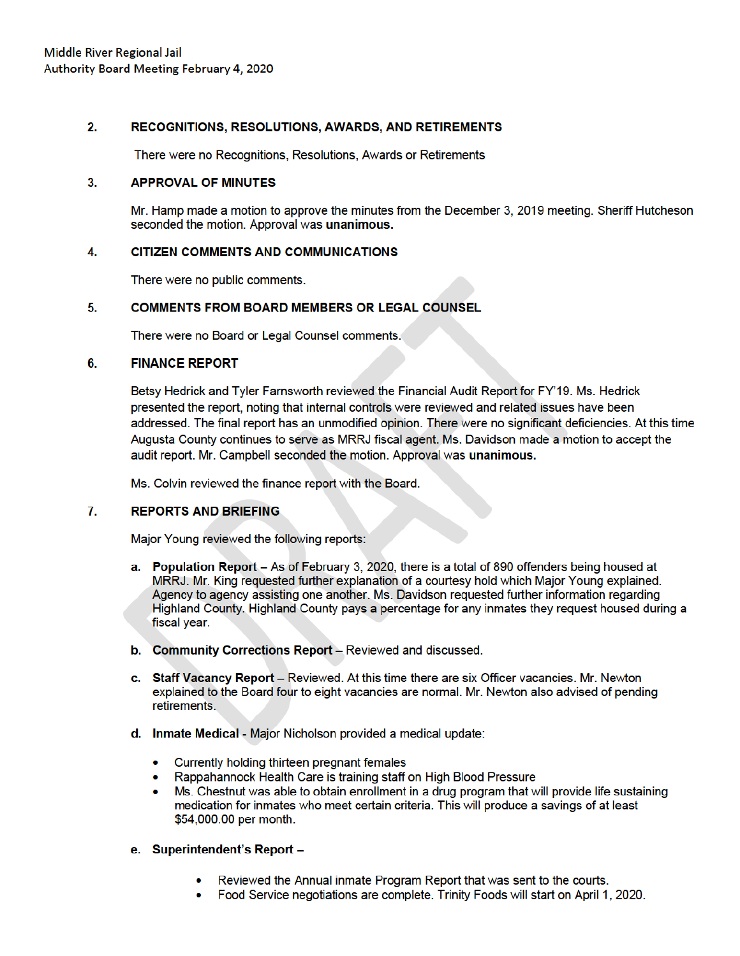#### $2.$ RECOGNITIONS, RESOLUTIONS, AWARDS, AND RETIREMENTS

There were no Recognitions, Resolutions, Awards or Retirements

#### 3. **APPROVAL OF MINUTES**

Mr. Hamp made a motion to approve the minutes from the December 3, 2019 meeting. Sheriff Hutcheson seconded the motion. Approval was unanimous.

#### 4. **CITIZEN COMMENTS AND COMMUNICATIONS**

There were no public comments.

#### **COMMENTS FROM BOARD MEMBERS OR LEGAL COUNSEL** 5.

There were no Board or Legal Counsel comments.

#### 6. **FINANCE REPORT**

Betsy Hedrick and Tyler Farnsworth reviewed the Financial Audit Report for FY'19. Ms. Hedrick presented the report, noting that internal controls were reviewed and related issues have been addressed. The final report has an unmodified opinion. There were no significant deficiencies. At this time Augusta County continues to serve as MRRJ fiscal agent. Ms. Davidson made a motion to accept the audit report. Mr. Campbell seconded the motion. Approval was unanimous.

Ms. Colvin reviewed the finance report with the Board.

#### 7. **REPORTS AND BRIEFING**

Major Young reviewed the following reports:

- a. Population Report As of February 3, 2020, there is a total of 890 offenders being housed at MRRJ. Mr. King requested further explanation of a courtesy hold which Major Young explained. Agency to agency assisting one another. Ms. Davidson requested further information regarding Highland County, Highland County pays a percentage for any inmates they request housed during a fiscal year.
- b. Community Corrections Report Reviewed and discussed.
- c. Staff Vacancy Report Reviewed. At this time there are six Officer vacancies. Mr. Newton explained to the Board four to eight vacancies are normal. Mr. Newton also advised of pending retirements.
- d. Inmate Medical Major Nicholson provided a medical update:
	- Currently holding thirteen pregnant females
	- Rappahannock Health Care is training staff on High Blood Pressure
	- Ms. Chestnut was able to obtain enrollment in a drug program that will provide life sustaining  $\bullet$ medication for inmates who meet certain criteria. This will produce a savings of at least \$54,000.00 per month.
- e. Superintendent's Report -
	- Reviewed the Annual inmate Program Report that was sent to the courts.
	- Food Service negotiations are complete. Trinity Foods will start on April 1, 2020.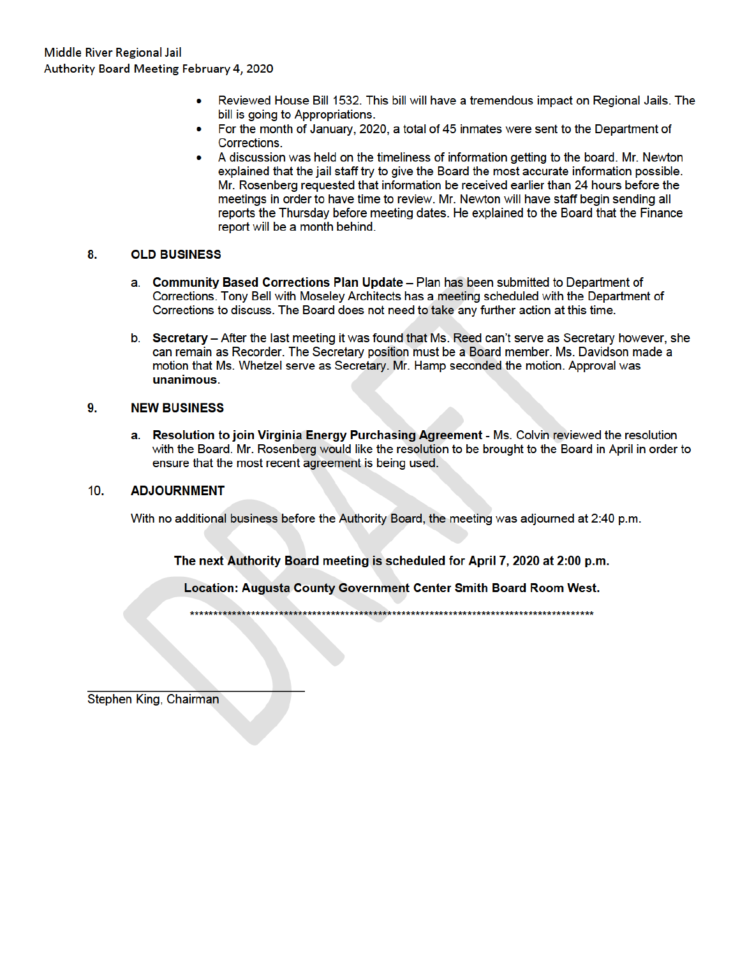- Reviewed House Bill 1532. This bill will have a tremendous impact on Regional Jails. The bill is going to Appropriations.
- For the month of January, 2020, a total of 45 inmates were sent to the Department of Corrections.
- A discussion was held on the timeliness of information getting to the board. Mr. Newton explained that the jail staff try to give the Board the most accurate information possible. Mr. Rosenberg requested that information be received earlier than 24 hours before the meetings in order to have time to review. Mr. Newton will have staff begin sending all reports the Thursday before meeting dates. He explained to the Board that the Finance report will be a month behind.

#### 8. **OLD BUSINESS**

- a. Community Based Corrections Plan Update Plan has been submitted to Department of Corrections. Tony Bell with Moseley Architects has a meeting scheduled with the Department of Corrections to discuss. The Board does not need to take any further action at this time.
- b. Secretary After the last meeting it was found that Ms. Reed can't serve as Secretary however, she can remain as Recorder. The Secretary position must be a Board member. Ms. Davidson made a motion that Ms. Whetzel serve as Secretary. Mr. Hamp seconded the motion. Approval was unanimous.

#### 9. **NEW BUSINESS**

a. Resolution to join Virginia Energy Purchasing Agreement - Ms. Colvin reviewed the resolution with the Board. Mr. Rosenberg would like the resolution to be brought to the Board in April in order to ensure that the most recent agreement is being used.

#### $10.$ **ADJOURNMENT**

With no additional business before the Authority Board, the meeting was adjourned at 2:40 p.m.

The next Authority Board meeting is scheduled for April 7, 2020 at 2:00 p.m.

Location: Augusta County Government Center Smith Board Room West.

Stephen King, Chairman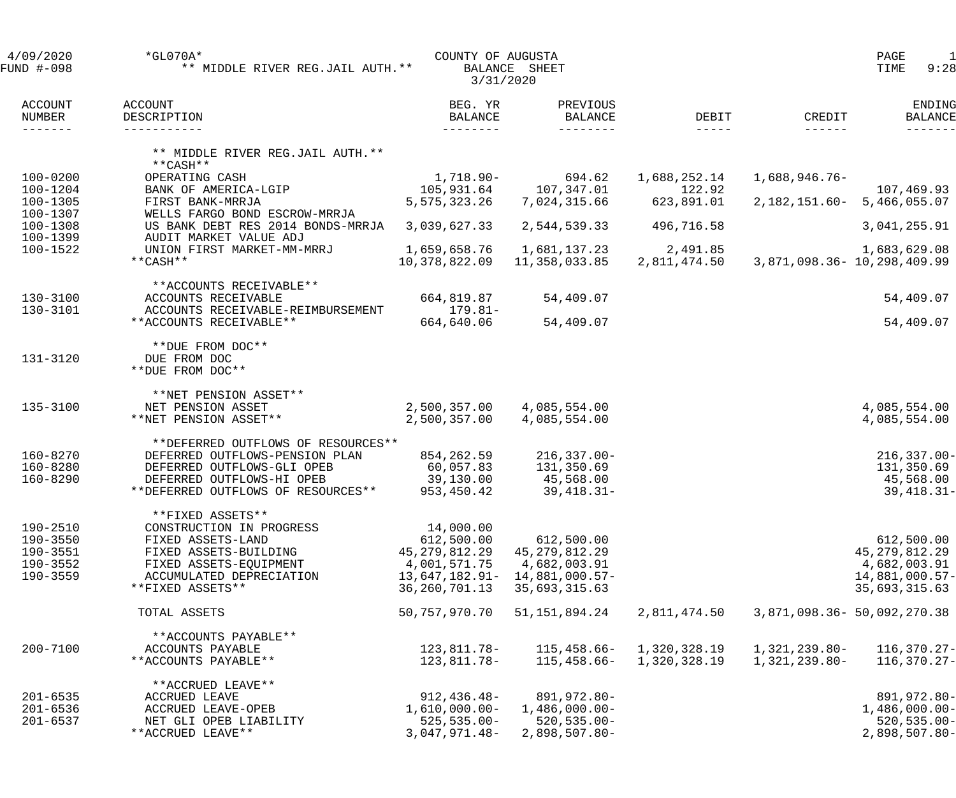| 4/09/2020<br>FUND #-098                                  | $*GLO70A*$<br>** MIDDLE RIVER REG.JAIL AUTH. **                                                                                                                       | COUNTY OF AUGUSTA<br>3/31/2020                                                                   | BALANCE SHEET                                                                     |                              |                                | 1<br>PAGE<br>TIME<br>9:28                                                        |
|----------------------------------------------------------|-----------------------------------------------------------------------------------------------------------------------------------------------------------------------|--------------------------------------------------------------------------------------------------|-----------------------------------------------------------------------------------|------------------------------|--------------------------------|----------------------------------------------------------------------------------|
| <b>ACCOUNT</b><br>NUMBER<br>-------                      | ACCOUNT<br>DESCRIPTION<br>-----------                                                                                                                                 | BEG. YR<br><b>BALANCE</b><br>---------                                                           | PREVIOUS<br>BALANCE<br>$- - - - - - - -$                                          | DEBIT<br>$- - - - - -$       | CREDIT                         | ENDING<br><b>BALANCE</b>                                                         |
|                                                          | ** MIDDLE RIVER REG.JAIL AUTH. **<br>**CASH**                                                                                                                         |                                                                                                  |                                                                                   |                              |                                |                                                                                  |
| $100 - 0200$<br>100-1204                                 | OPERATING CASH<br>BANK OF AMERICA-LGIP                                                                                                                                | 1,718.90-<br>105,931.64                                                                          | 694.62<br>107,347.01                                                              | 1,688,252.14<br>122.92       | $1,688,946.76-$                | 107,469.93                                                                       |
| 100-1305                                                 | FIRST BANK-MRRJA                                                                                                                                                      | 5,575,323.26                                                                                     | 7,024,315.66                                                                      | 623,891.01                   |                                | 2, 182, 151.60 - 5, 466, 055.07                                                  |
| 100-1307<br>100-1308<br>100-1399                         | WELLS FARGO BOND ESCROW-MRRJA<br>US BANK DEBT RES 2014 BONDS-MRRJA<br>AUDIT MARKET VALUE ADJ                                                                          | 3,039,627.33                                                                                     | 2,544,539.33                                                                      | 496,716.58                   |                                | 3,041,255.91                                                                     |
| 100-1522                                                 | UNION FIRST MARKET-MM-MRRJ<br>**CASH**                                                                                                                                | 1,659,658.76<br>10,378,822.09                                                                    | 1,681,137.23<br>11,358,033.85                                                     | 2,491.85<br>2,811,474.50     |                                | 1,683,629.08<br>3,871,098.36 - 10,298,409.99                                     |
| 130-3100                                                 | **ACCOUNTS RECEIVABLE**<br>ACCOUNTS RECEIVABLE                                                                                                                        | 664,819.87                                                                                       | 54,409.07                                                                         |                              |                                | 54,409.07                                                                        |
| 130-3101                                                 | ACCOUNTS RECEIVABLE-REIMBURSEMENT<br>**ACCOUNTS RECEIVABLE**                                                                                                          | $179.81-$<br>664,640.06                                                                          | 54,409.07                                                                         |                              |                                | 54,409.07                                                                        |
| 131-3120                                                 | **DUE FROM DOC**<br>DUE FROM DOC<br>**DUE FROM DOC**                                                                                                                  |                                                                                                  |                                                                                   |                              |                                |                                                                                  |
| 135-3100                                                 | **NET PENSION ASSET**<br>NET PENSION ASSET<br>**NET PENSION ASSET**                                                                                                   | 2,500,357.00<br>2,500,357.00                                                                     | 4,085,554.00<br>4,085,554.00                                                      |                              |                                | 4,085,554.00<br>4,085,554.00                                                     |
| 160-8270<br>160-8280<br>160-8290                         | **DEFERRED OUTFLOWS OF RESOURCES**<br>DEFERRED OUTFLOWS-PENSION PLAN<br>DEFERRED OUTFLOWS-GLI OPEB<br>DEFERRED OUTFLOWS-HI OPEB<br>**DEFERRED OUTFLOWS OF RESOURCES** | 854,262.59<br>60,057.83<br>39,130.00<br>953,450.42                                               | $216, 337.00 -$<br>131,350.69<br>45,568.00<br>$39,418.31-$                        |                              |                                | $216, 337.00 -$<br>131,350.69<br>45,568.00<br>$39,418.31 -$                      |
| 190-2510<br>190-3550<br>190-3551<br>190-3552<br>190-3559 | **FIXED ASSETS**<br>CONSTRUCTION IN PROGRESS<br>FIXED ASSETS-LAND<br>FIXED ASSETS-BUILDING<br>FIXED ASSETS-EQUIPMENT<br>ACCUMULATED DEPRECIATION<br>**FIXED ASSETS**  | 14,000.00<br>612,500.00<br>45, 279, 812. 29<br>4,001,571.75<br>$13,647,182.91-$<br>36,260,701.13 | 612,500.00<br>45, 279, 812. 29<br>4,682,003.91<br>14,881,000.57-<br>35,693,315.63 |                              |                                | 612,500.00<br>45, 279, 812.29<br>4,682,003.91<br>14,881,000.57-<br>35,693,315.63 |
|                                                          | TOTAL ASSETS                                                                                                                                                          | 50, 757, 970. 70                                                                                 | 51, 151, 894. 24                                                                  | 2,811,474.50                 |                                | 3,871,098.36 - 50,092,270.38                                                     |
| $200 - 7100$                                             | **ACCOUNTS PAYABLE**<br>ACCOUNTS PAYABLE<br>**ACCOUNTS PAYABLE**                                                                                                      | 123,811.78-<br>123,811.78-                                                                       | 115,458.66-<br>115,458.66-                                                        | 1,320,328.19<br>1,320,328.19 | 1,321,239.80-<br>1,321,239.80- | 116,370.27-<br>116,370.27-                                                       |
| $201 - 6535$<br>$201 - 6536$<br>$201 - 6537$             | **ACCRUED LEAVE**<br>ACCRUED LEAVE<br>ACCRUED LEAVE-OPEB<br>NET GLI OPEB LIABILITY<br>**ACCRUED LEAVE**                                                               | $912, 436.48 -$<br>$1,610,000.00-$<br>$525, 535.00 -$<br>3,047,971.48-                           | 891,972.80-<br>$1,486,000.00-$<br>$520, 535.00 -$<br>2,898,507.80-                |                              |                                | 891,972.80-<br>$1,486,000.00-$<br>$520, 535.00 -$<br>$2,898,507.80-$             |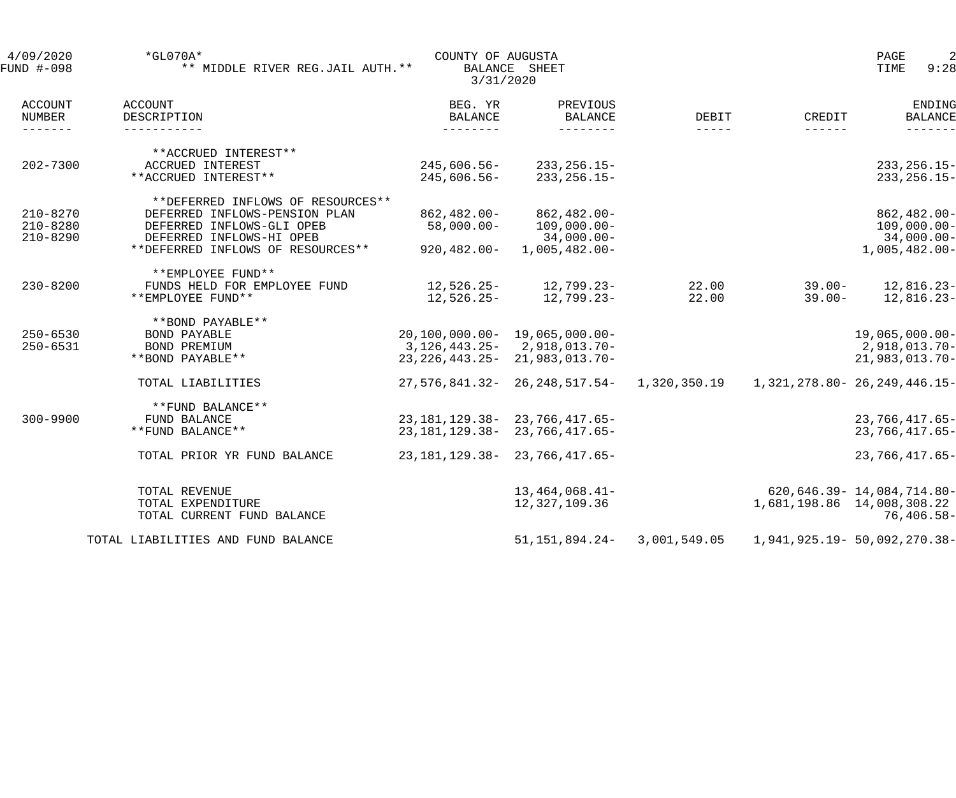| 4/09/2020<br>FUND #-098              | $*$ GL070A*<br>** MIDDLE RIVER REG.JAIL AUTH. ** | COUNTY OF AUGUSTA<br>3/31/2020 | BALANCE SHEET                           |                        |           | $\overline{2}$<br>PAGE<br>TIME<br>9:28 |
|--------------------------------------|--------------------------------------------------|--------------------------------|-----------------------------------------|------------------------|-----------|----------------------------------------|
| ACCOUNT<br>NUMBER<br>$- - - - - - -$ | <b>ACCOUNT</b><br>DESCRIPTION<br>-----------     | BEG. YR<br>BALANCE             | PREVIOUS<br><b>BALANCE</b><br>--------- | DEBIT<br>$- - - - - -$ | CREDIT    | ENDING<br><b>BALANCE</b>               |
|                                      | **ACCRUED INTEREST**                             |                                |                                         |                        |           |                                        |
| $202 - 7300$                         | ACCRUED INTEREST                                 | 245,606.56-                    | $233, 256.15 -$                         |                        |           | $233, 256.15 -$                        |
|                                      | **ACCRUED INTEREST**                             | 245,606.56-                    | $233, 256.15 -$                         |                        |           | $233, 256.15 -$                        |
|                                      | **DEFERRED INFLOWS OF RESOURCES**                |                                |                                         |                        |           |                                        |
| $210 - 8270$                         | DEFERRED INFLOWS-PENSION PLAN                    | 862,482.00-                    | $862,482.00 -$                          |                        |           | 862,482.00-                            |
| $210 - 8280$                         | DEFERRED INFLOWS-GLI OPEB                        | $58,000.00-$                   | $109,000.00 -$                          |                        |           | $109,000.00 -$                         |
| $210 - 8290$                         | DEFERRED INFLOWS-HI OPEB                         |                                | $34,000.00-$                            |                        |           | $34,000.00 -$                          |
|                                      | **DEFERRED INFLOWS OF RESOURCES**                | 920,482.00-                    | $1,005,482.00-$                         |                        |           | $1,005,482.00 -$                       |
|                                      | **EMPLOYEE FUND**                                |                                |                                         |                        |           |                                        |
| $230 - 8200$                         | FUNDS HELD FOR EMPLOYEE FUND                     |                                | $12,526.25 - 12,799.23 -$               | 22.00                  | $39.00 -$ | 12,816.23-                             |
|                                      | **EMPLOYEE FUND**                                | 12,526.25-                     | 12,799.23-                              | 22.00                  | $39.00 -$ | $12,816.23-$                           |
|                                      | **BOND PAYABLE**                                 |                                |                                         |                        |           |                                        |
| $250 - 6530$                         | <b>BOND PAYABLE</b>                              | 20,100,000.00- 19,065,000.00-  |                                         |                        |           | $19,065,000.00-$                       |
| $250 - 6531$                         | BOND PREMIUM                                     |                                | 3, 126, 443. 25 - 2, 918, 013. 70 -     |                        |           | 2,918,013.70-                          |
|                                      | **BOND PAYABLE**                                 |                                | 23, 226, 443. 25 - 21, 983, 013. 70 -   |                        |           | 21,983,013.70-                         |
|                                      | TOTAL LIABILITIES                                |                                | 27,576,841.32- 26,248,517.54-           |                        |           |                                        |
|                                      | **FUND BALANCE**                                 |                                |                                         |                        |           |                                        |
| $300 - 9900$                         | FUND BALANCE                                     |                                | 23, 181, 129. 38 - 23, 766, 417. 65 -   |                        |           | $23,766,417.65-$                       |
|                                      | **FUND BALANCE**                                 |                                | 23, 181, 129. 38 - 23, 766, 417. 65 -   |                        |           | 23,766,417.65-                         |
|                                      | TOTAL PRIOR YR FUND BALANCE                      |                                | 23, 181, 129. 38 - 23, 766, 417. 65 -   |                        |           | $23,766,417.65-$                       |
|                                      | TOTAL REVENUE                                    |                                | $13,464,068.41-$                        |                        |           | 620, 646.39 - 14, 084, 714.80 -        |
|                                      | TOTAL EXPENDITURE                                |                                | 12,327,109.36                           |                        |           | 1,681,198.86 14,008,308.22             |
|                                      | TOTAL CURRENT FUND BALANCE                       |                                |                                         |                        |           | $76,406.58-$                           |
|                                      | TOTAL LIABILITIES AND FUND BALANCE               |                                | 51, 151, 894. 24-                       | 3,001,549.05           |           | 1,941,925.19 - 50,092,270.38 -         |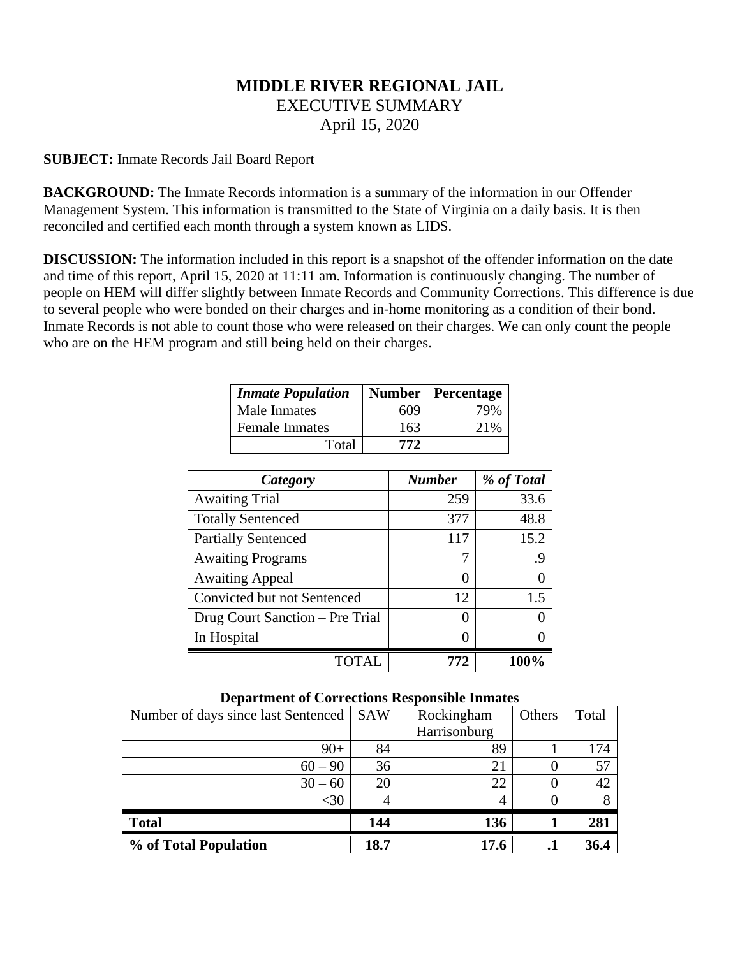# **MIDDLE RIVER REGIONAL JAIL** EXECUTIVE SUMMARY April 15, 2020

# **SUBJECT:** Inmate Records Jail Board Report

**BACKGROUND:** The Inmate Records information is a summary of the information in our Offender Management System. This information is transmitted to the State of Virginia on a daily basis. It is then reconciled and certified each month through a system known as LIDS.

**DISCUSSION:** The information included in this report is a snapshot of the offender information on the date and time of this report, April 15, 2020 at 11:11 am. Information is continuously changing. The number of people on HEM will differ slightly between Inmate Records and Community Corrections. This difference is due to several people who were bonded on their charges and in-home monitoring as a condition of their bond. Inmate Records is not able to count those who were released on their charges. We can only count the people who are on the HEM program and still being held on their charges.

| <b>Inmate Population</b> |     | <b>Number   Percentage</b> |
|--------------------------|-----|----------------------------|
| Male Inmates             | 609 | 79%                        |
| <b>Female Inmates</b>    | 163 | 21%                        |
| Total                    | 772 |                            |

| Category                        | <b>Number</b> | % of Total |
|---------------------------------|---------------|------------|
| <b>Awaiting Trial</b>           | 259           | 33.6       |
| <b>Totally Sentenced</b>        | 377           | 48.8       |
| <b>Partially Sentenced</b>      | 117           | 15.2       |
| <b>Awaiting Programs</b>        | 7             | .9         |
| <b>Awaiting Appeal</b>          | 0             | 0          |
| Convicted but not Sentenced     | 12            | 1.5        |
| Drug Court Sanction – Pre Trial | 0             | 0          |
| In Hospital                     |               | ∩          |
|                                 | 772           | 100%       |

| Number of days since last Sentenced | <b>SAW</b> | Rockingham   | Others | Total |
|-------------------------------------|------------|--------------|--------|-------|
|                                     |            | Harrisonburg |        |       |
| $90+$                               | 84         | 89           |        | 174   |
| $60 - 90$                           | 36         | 21           |        | 57    |
| $30 - 60$                           | 20         | 22           |        | 42    |
| $<$ 30                              | 4          |              |        |       |
| <b>Total</b>                        | 144        | 136          |        | 281   |
| % of Total Population               | 18.7       | 17.6         | . .    | 36.4  |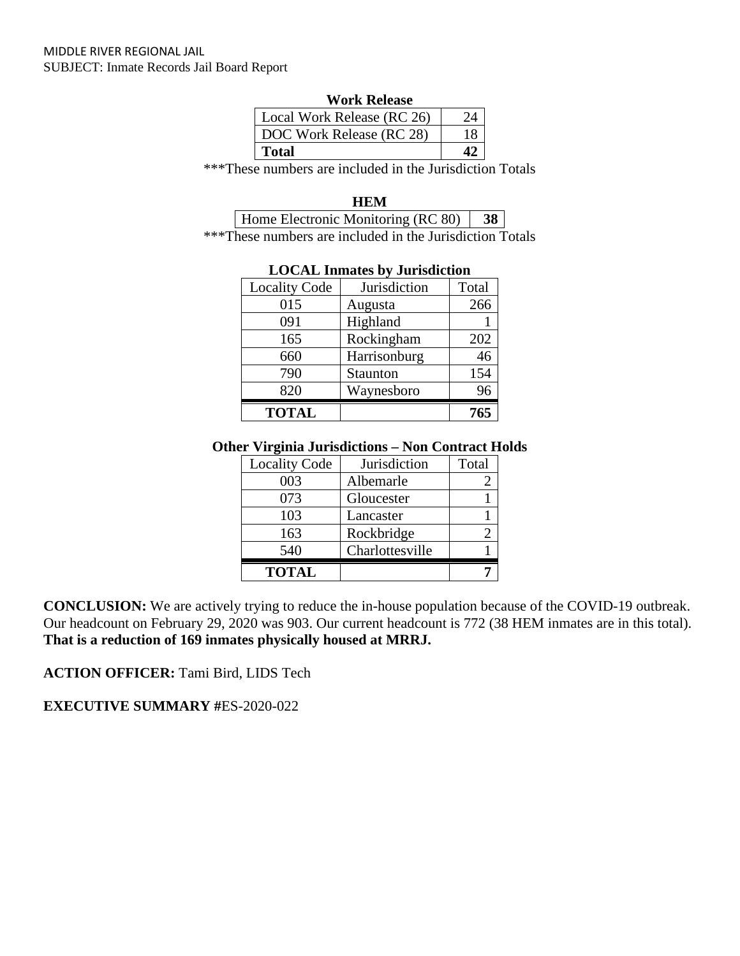| <b>Work Release</b>        |  |  |
|----------------------------|--|--|
| Local Work Release (RC 26) |  |  |
| DOC Work Release (RC 28)   |  |  |
| Total                      |  |  |

\*\*\*These numbers are included in the Jurisdiction Totals

**HEM**

Home Electronic Monitoring (RC 80) **38** \*\*\*These numbers are included in the Jurisdiction Totals

| LOCAL Imitates by Julistiction |              |       |  |  |
|--------------------------------|--------------|-------|--|--|
| <b>Locality Code</b>           | Jurisdiction | Total |  |  |
| 015                            | Augusta      | 266   |  |  |
| 091                            | Highland     |       |  |  |
| 165                            | Rockingham   | 202   |  |  |
| 660                            | Harrisonburg | 46    |  |  |
| 790                            | Staunton     | 154   |  |  |
| 820                            | Waynesboro   | 96    |  |  |
| <b>TOTAL</b>                   |              | 765   |  |  |

# **LOCAL Inmates by Jurisdiction**

### **Other Virginia Jurisdictions – Non Contract Holds**

| <b>Locality Code</b> | Jurisdiction    | Total |
|----------------------|-----------------|-------|
| 003                  | Albemarle       |       |
| 073                  | Gloucester      |       |
| 103                  | Lancaster       |       |
| 163                  | Rockbridge      |       |
| 540                  | Charlottesville |       |
| <b>TOTAL</b>         |                 |       |

**CONCLUSION:** We are actively trying to reduce the in-house population because of the COVID-19 outbreak. Our headcount on February 29, 2020 was 903. Our current headcount is 772 (38 HEM inmates are in this total). **That is a reduction of 169 inmates physically housed at MRRJ.**

**ACTION OFFICER:** Tami Bird, LIDS Tech

**EXECUTIVE SUMMARY #**ES-2020-022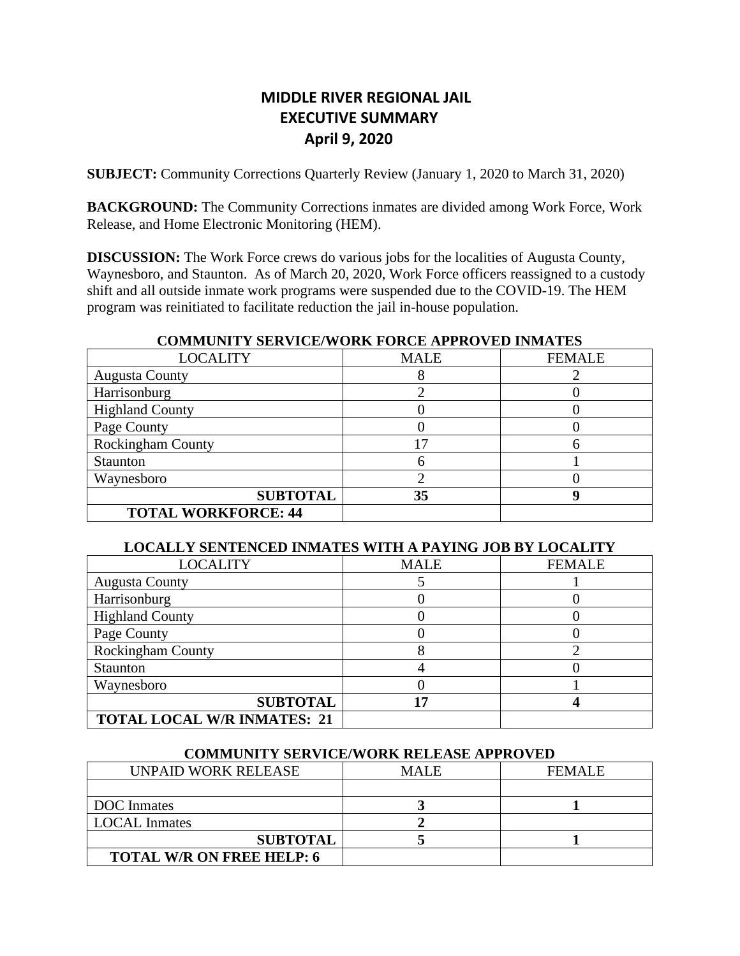# **MIDDLE RIVER REGIONAL JAIL EXECUTIVE SUMMARY April 9, 2020**

**SUBJECT:** Community Corrections Quarterly Review (January 1, 2020 to March 31, 2020)

**BACKGROUND:** The Community Corrections inmates are divided among Work Force, Work Release, and Home Electronic Monitoring (HEM).

**DISCUSSION:** The Work Force crews do various jobs for the localities of Augusta County, Waynesboro, and Staunton. As of March 20, 2020, Work Force officers reassigned to a custody shift and all outside inmate work programs were suspended due to the COVID-19. The HEM program was reinitiated to facilitate reduction the jail in-house population.

# **COMMUNITY SERVICE/WORK FORCE APPROVED INMATES**

| <b>LOCALITY</b>            | <b>MALE</b> | <b>FEMALE</b> |
|----------------------------|-------------|---------------|
| <b>Augusta County</b>      |             |               |
| Harrisonburg               |             |               |
| <b>Highland County</b>     |             |               |
| Page County                |             |               |
| <b>Rockingham County</b>   | 17          |               |
| Staunton                   |             |               |
| Waynesboro                 |             |               |
| <b>SUBTOTAL</b>            | 35          |               |
| <b>TOTAL WORKFORCE: 44</b> |             |               |

### **LOCALLY SENTENCED INMATES WITH A PAYING JOB BY LOCALITY**

| <b>LOCALITY</b>                    | <b>MALE</b> | <b>FEMALE</b> |
|------------------------------------|-------------|---------------|
| <b>Augusta County</b>              |             |               |
| Harrisonburg                       |             |               |
| <b>Highland County</b>             |             |               |
| Page County                        |             |               |
| <b>Rockingham County</b>           | Λ           |               |
| Staunton                           |             |               |
| Waynesboro                         |             |               |
| <b>SUBTOTAL</b>                    | לו          |               |
| <b>TOTAL LOCAL W/R INMATES: 21</b> |             |               |

### **COMMUNITY SERVICE/WORK RELEASE APPROVED**

| UNPAID WORK RELEASE              | <b>MALE</b> | <b>FEMALE</b> |
|----------------------------------|-------------|---------------|
|                                  |             |               |
| DOC Inmates                      |             |               |
| <b>LOCAL</b> Inmates             |             |               |
| <b>SUBTOTAL</b>                  |             |               |
| <b>TOTAL W/R ON FREE HELP: 6</b> |             |               |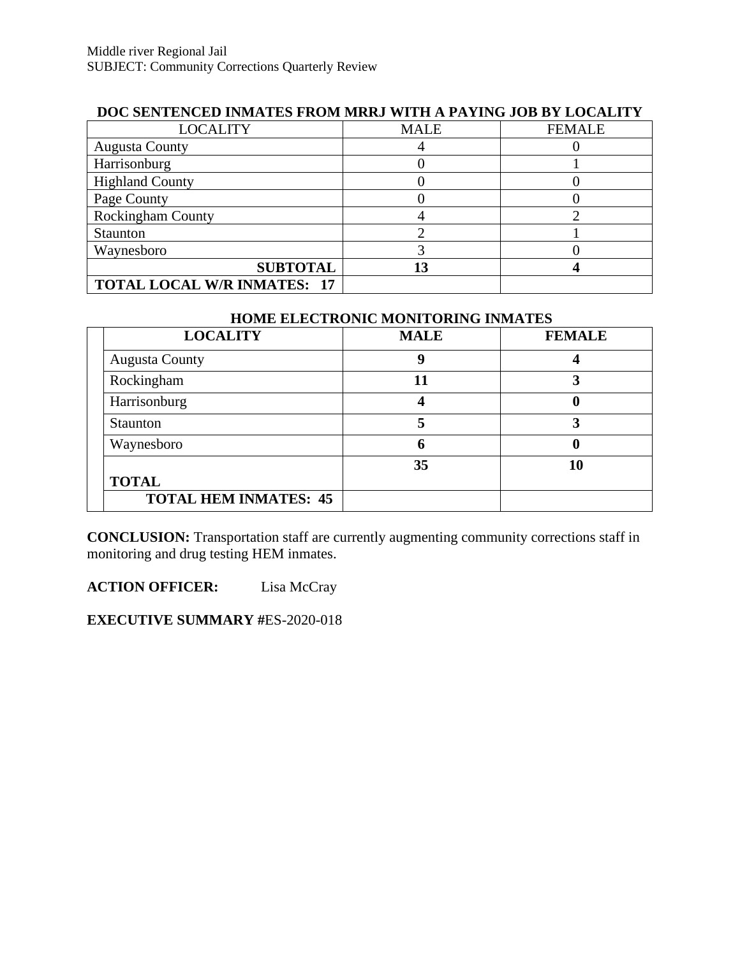| DOC BENTERCED INIHITEB FROM MINNE MITH A FAITING COD DT EQUALIT |             |               |
|-----------------------------------------------------------------|-------------|---------------|
| <b>LOCALITY</b>                                                 | <b>MALE</b> | <b>FEMALE</b> |
| <b>Augusta County</b>                                           |             |               |
| Harrisonburg                                                    |             |               |
| <b>Highland County</b>                                          |             |               |
| Page County                                                     |             |               |
| <b>Rockingham County</b>                                        |             |               |
| Staunton                                                        |             |               |
| Waynesboro                                                      |             |               |
| <b>SUBTOTAL</b>                                                 | 13          |               |
| <b>TOTAL LOCAL W/R INMATES: 17</b>                              |             |               |

# **DOC SENTENCED INMATES FROM MRRJ WITH A PAYING JOB BY LOCALITY**

# **HOME ELECTRONIC MONITORING INMATES**

| <b>LOCALITY</b>              | <b>MALE</b> | <b>FEMALE</b> |
|------------------------------|-------------|---------------|
| <b>Augusta County</b>        |             |               |
| Rockingham                   | 11          |               |
| Harrisonburg                 |             | U             |
| Staunton                     |             |               |
| Waynesboro                   |             |               |
|                              | 35          | 10            |
| <b>TOTAL</b>                 |             |               |
| <b>TOTAL HEM INMATES: 45</b> |             |               |

**CONCLUSION:** Transportation staff are currently augmenting community corrections staff in monitoring and drug testing HEM inmates.

**ACTION OFFICER:** Lisa McCray

**EXECUTIVE SUMMARY #**ES-2020-018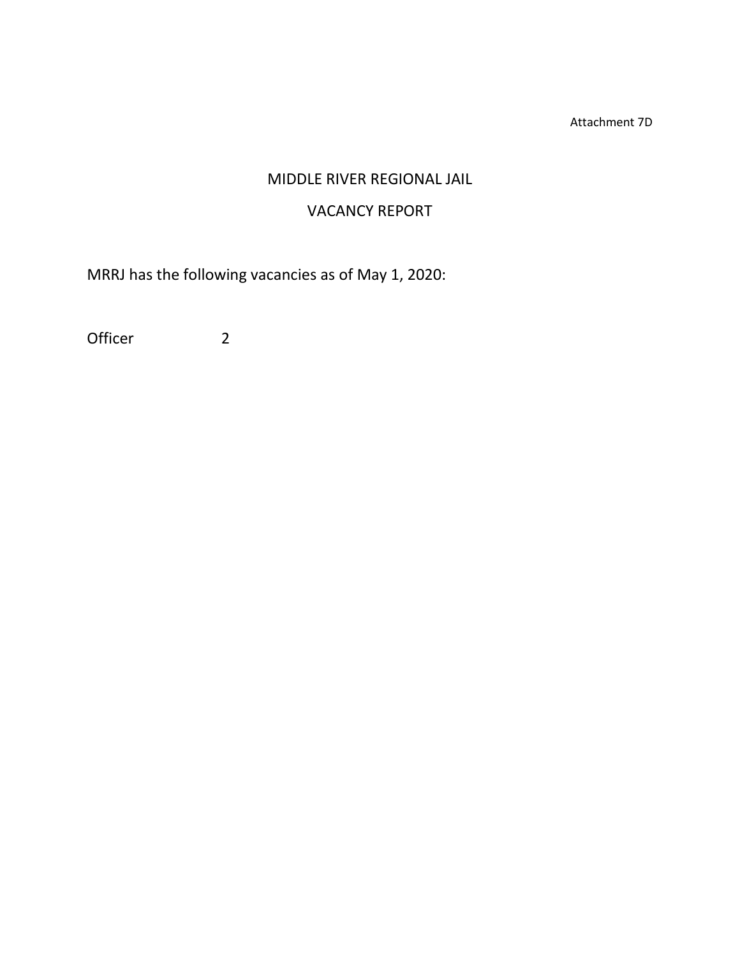Attachment 7D

# MIDDLE RIVER REGIONAL JAIL

# VACANCY REPORT

MRRJ has the following vacancies as of May 1, 2020:

Officer 2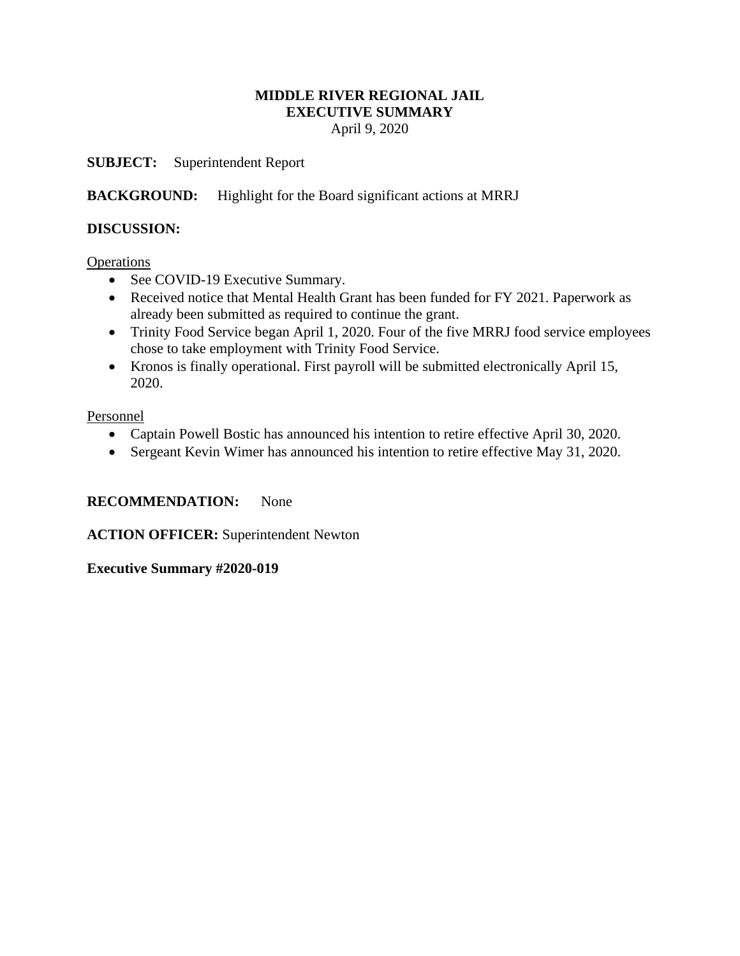# **MIDDLE RIVER REGIONAL JAIL EXECUTIVE SUMMARY**

April 9, 2020

**SUBJECT:** Superintendent Report

**BACKGROUND:** Highlight for the Board significant actions at MRRJ

# **DISCUSSION:**

**Operations** 

- See COVID-19 Executive Summary.
- Received notice that Mental Health Grant has been funded for FY 2021. Paperwork as already been submitted as required to continue the grant.
- Trinity Food Service began April 1, 2020. Four of the five MRRJ food service employees chose to take employment with Trinity Food Service.
- Kronos is finally operational. First payroll will be submitted electronically April 15, 2020.

Personnel

- Captain Powell Bostic has announced his intention to retire effective April 30, 2020.
- Sergeant Kevin Wimer has announced his intention to retire effective May 31, 2020.

# **RECOMMENDATION:** None

**ACTION OFFICER:** Superintendent Newton

**Executive Summary #2020-019**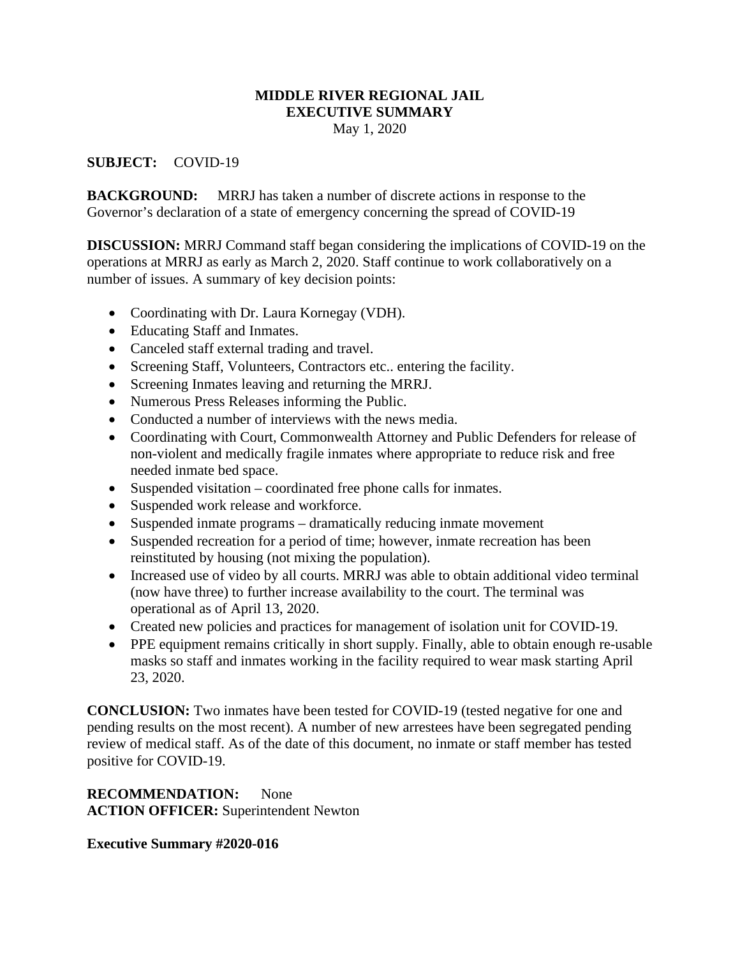# **MIDDLE RIVER REGIONAL JAIL EXECUTIVE SUMMARY**

May 1, 2020

# **SUBJECT:** COVID-19

**BACKGROUND:** MRRJ has taken a number of discrete actions in response to the Governor's declaration of a state of emergency concerning the spread of COVID-19

**DISCUSSION:** MRRJ Command staff began considering the implications of COVID-19 on the operations at MRRJ as early as March 2, 2020. Staff continue to work collaboratively on a number of issues. A summary of key decision points:

- Coordinating with Dr. Laura Kornegay (VDH).
- Educating Staff and Inmates.
- Canceled staff external trading and travel.
- Screening Staff, Volunteers, Contractors etc.. entering the facility.
- Screening Inmates leaving and returning the MRRJ.
- Numerous Press Releases informing the Public.
- Conducted a number of interviews with the news media.
- Coordinating with Court, Commonwealth Attorney and Public Defenders for release of non-violent and medically fragile inmates where appropriate to reduce risk and free needed inmate bed space.
- Suspended visitation coordinated free phone calls for inmates.
- Suspended work release and workforce.
- Suspended inmate programs dramatically reducing inmate movement
- Suspended recreation for a period of time; however, inmate recreation has been reinstituted by housing (not mixing the population).
- Increased use of video by all courts. MRRJ was able to obtain additional video terminal (now have three) to further increase availability to the court. The terminal was operational as of April 13, 2020.
- Created new policies and practices for management of isolation unit for COVID-19.
- PPE equipment remains critically in short supply. Finally, able to obtain enough re-usable masks so staff and inmates working in the facility required to wear mask starting April 23, 2020.

**CONCLUSION:** Two inmates have been tested for COVID-19 (tested negative for one and pending results on the most recent). A number of new arrestees have been segregated pending review of medical staff. As of the date of this document, no inmate or staff member has tested positive for COVID-19.

# **RECOMMENDATION:** None **ACTION OFFICER:** Superintendent Newton

# **Executive Summary #2020-016**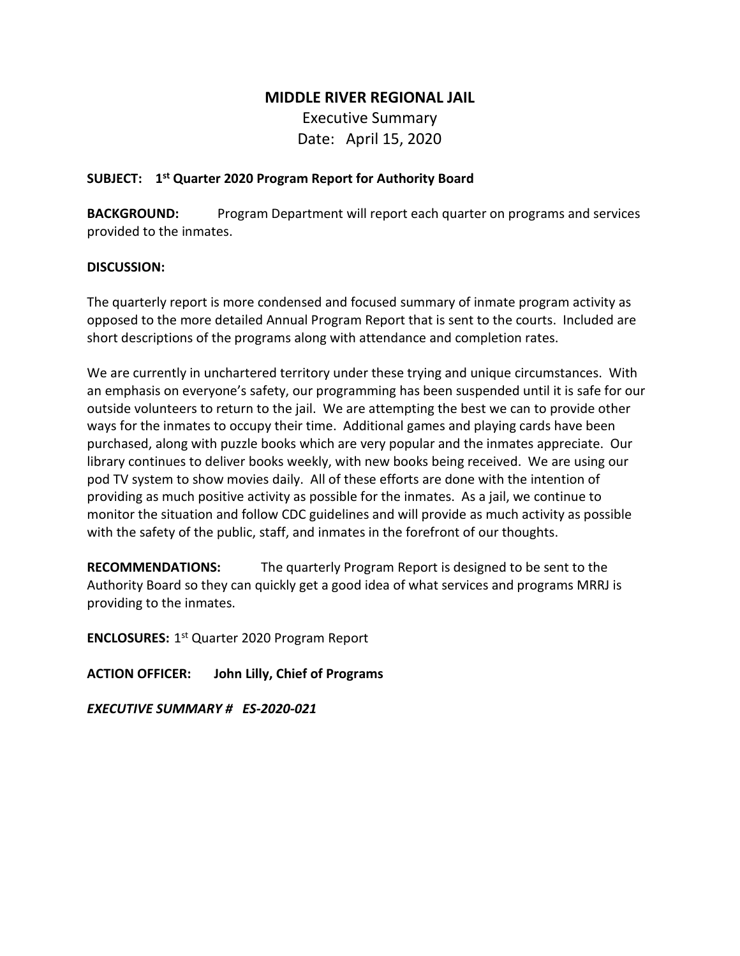# **MIDDLE RIVER REGIONAL JAIL**

Executive Summary Date: April 15, 2020

# **SUBJECT: 1st Quarter 2020 Program Report for Authority Board**

**BACKGROUND:** Program Department will report each quarter on programs and services provided to the inmates.

# **DISCUSSION:**

The quarterly report is more condensed and focused summary of inmate program activity as opposed to the more detailed Annual Program Report that is sent to the courts. Included are short descriptions of the programs along with attendance and completion rates.

We are currently in unchartered territory under these trying and unique circumstances. With an emphasis on everyone's safety, our programming has been suspended until it is safe for our outside volunteers to return to the jail. We are attempting the best we can to provide other ways for the inmates to occupy their time. Additional games and playing cards have been purchased, along with puzzle books which are very popular and the inmates appreciate. Our library continues to deliver books weekly, with new books being received. We are using our pod TV system to show movies daily. All of these efforts are done with the intention of providing as much positive activity as possible for the inmates. As a jail, we continue to monitor the situation and follow CDC guidelines and will provide as much activity as possible with the safety of the public, staff, and inmates in the forefront of our thoughts.

**RECOMMENDATIONS:** The quarterly Program Report is designed to be sent to the Authority Board so they can quickly get a good idea of what services and programs MRRJ is providing to the inmates.

**ENCLOSURES:** 1st Quarter 2020 Program Report

**ACTION OFFICER: John Lilly, Chief of Programs** 

*EXECUTIVE SUMMARY # ES-2020-021*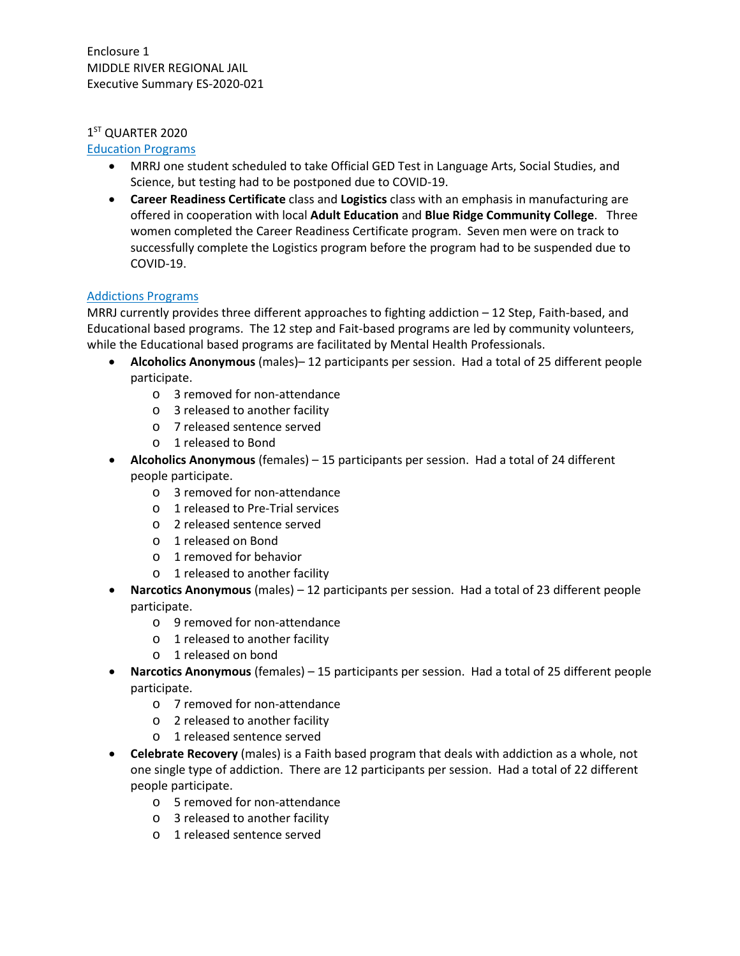## 1<sup>ST</sup> QUARTER 2020

### Education Programs

- MRRJ one student scheduled to take Official GED Test in Language Arts, Social Studies, and Science, but testing had to be postponed due to COVID-19.
- **Career Readiness Certificate** class and **Logistics** class with an emphasis in manufacturing are offered in cooperation with local **Adult Education** and **Blue Ridge Community College**. Three women completed the Career Readiness Certificate program. Seven men were on track to successfully complete the Logistics program before the program had to be suspended due to COVID-19.

# Addictions Programs

MRRJ currently provides three different approaches to fighting addiction – 12 Step, Faith-based, and Educational based programs. The 12 step and Fait-based programs are led by community volunteers, while the Educational based programs are facilitated by Mental Health Professionals.

- **Alcoholics Anonymous** (males)– 12 participants per session. Had a total of 25 different people participate.
	- o 3 removed for non-attendance
	- o 3 released to another facility
	- o 7 released sentence served
	- o 1 released to Bond
- **Alcoholics Anonymous** (females) 15 participants per session. Had a total of 24 different people participate.
	- o 3 removed for non-attendance
	- o 1 released to Pre-Trial services
	- o 2 released sentence served
	- o 1 released on Bond
	- o 1 removed for behavior
	- o 1 released to another facility
- **Narcotics Anonymous** (males) 12 participants per session. Had a total of 23 different people participate.
	- o 9 removed for non-attendance
	- o 1 released to another facility
	- o 1 released on bond
- **Narcotics Anonymous** (females) 15 participants per session. Had a total of 25 different people participate.
	- o 7 removed for non-attendance
	- o 2 released to another facility
	- o 1 released sentence served
- **Celebrate Recovery** (males) is a Faith based program that deals with addiction as a whole, not one single type of addiction. There are 12 participants per session. Had a total of 22 different people participate.
	- o 5 removed for non-attendance
	- o 3 released to another facility
	- o 1 released sentence served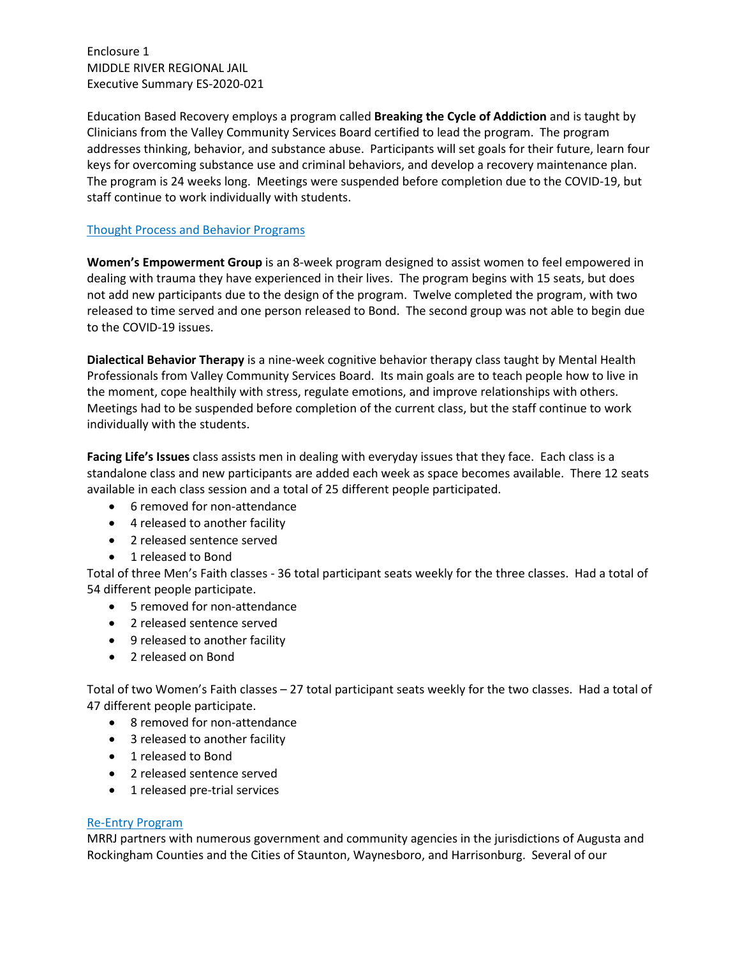Enclosure 1 MIDDLE RIVER REGIONAL JAIL Executive Summary ES-2020-021

Education Based Recovery employs a program called **Breaking the Cycle of Addiction** and is taught by Clinicians from the Valley Community Services Board certified to lead the program. The program addresses thinking, behavior, and substance abuse. Participants will set goals for their future, learn four keys for overcoming substance use and criminal behaviors, and develop a recovery maintenance plan. The program is 24 weeks long. Meetings were suspended before completion due to the COVID-19, but staff continue to work individually with students.

## Thought Process and Behavior Programs

**Women's Empowerment Group** is an 8-week program designed to assist women to feel empowered in dealing with trauma they have experienced in their lives. The program begins with 15 seats, but does not add new participants due to the design of the program. Twelve completed the program, with two released to time served and one person released to Bond. The second group was not able to begin due to the COVID-19 issues.

**Dialectical Behavior Therapy** is a nine-week cognitive behavior therapy class taught by Mental Health Professionals from Valley Community Services Board. Its main goals are to teach people how to live in the moment, cope healthily with stress, regulate emotions, and improve relationships with others. Meetings had to be suspended before completion of the current class, but the staff continue to work individually with the students.

**Facing Life's Issues** class assists men in dealing with everyday issues that they face. Each class is a standalone class and new participants are added each week as space becomes available. There 12 seats available in each class session and a total of 25 different people participated.

- 6 removed for non-attendance
- 4 released to another facility
- 2 released sentence served
- 1 released to Bond

Total of three Men's Faith classes - 36 total participant seats weekly for the three classes. Had a total of 54 different people participate.

- 5 removed for non-attendance
- 2 released sentence served
- 9 released to another facility
- 2 released on Bond

Total of two Women's Faith classes – 27 total participant seats weekly for the two classes. Had a total of 47 different people participate.

- 8 removed for non-attendance
- 3 released to another facility
- 1 released to Bond
- 2 released sentence served
- 1 released pre-trial services

### Re-Entry Program

MRRJ partners with numerous government and community agencies in the jurisdictions of Augusta and Rockingham Counties and the Cities of Staunton, Waynesboro, and Harrisonburg. Several of our